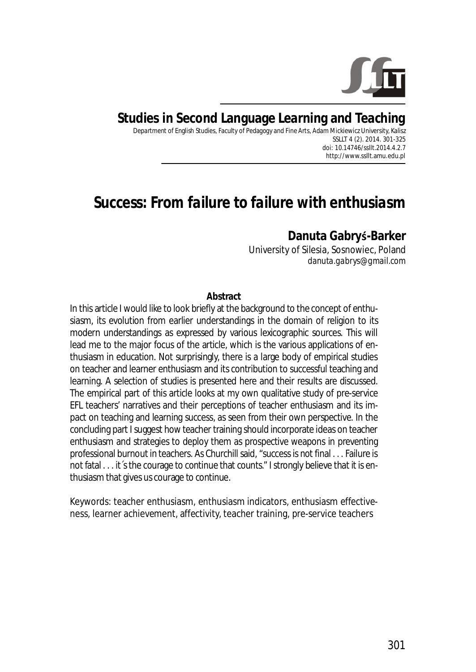

## **Studies in Second Language Learning and Teaching**

Department of English Studies, Faculty of Pedagogy and Fine Arts, Adam Mickiewicz University, Kalisz SSLLT 4 (2). 2014. 301-325 *doi: 10.14746/ssllt.2014.4.2.7* http://www.ssllt.amu.edu.pl

# *Success: From failure to failure with enthusiasm*

### **Danuta GabryƑ-Barker**

University of Silesia, Sosnowiec, Poland *danuta.gabrys@gmail.com* 

#### **Abstract**

In this article I would like to look briefly at the background to the concept of enthusiasm, its evolution from earlier understandings in the domain of religion to its modern understandings as expressed by various lexicographic sources. This will lead me to the major focus of the article, which is the various applications of enthusiasm in education. Not surprisingly, there is a large body of empirical studies on teacher and learner enthusiasm and its contribution to successful teaching and learning. A selection of studies is presented here and their results are discussed. The empirical part of this article looks at my own qualitative study of pre-service EFL teachers' narratives and their perceptions of teacher enthusiasm and its impact on teaching and learning success, as seen from their own perspective. In the concluding part I suggest how teacher training should incorporate ideas on teacher enthusiasm and strategies to deploy them as prospective weapons in preventing professional burnout in teachers. As Churchill said, "success is not final . . . Failure is not fatal . . . it's the courage to continue that counts." I strongly believe that it is enthusiasm that gives us courage to continue.

*Keywords*: teacher enthusiasm, enthusiasm indicators, enthusiasm effectiveness, learner achievement, affectivity, teacher training, pre-service teachers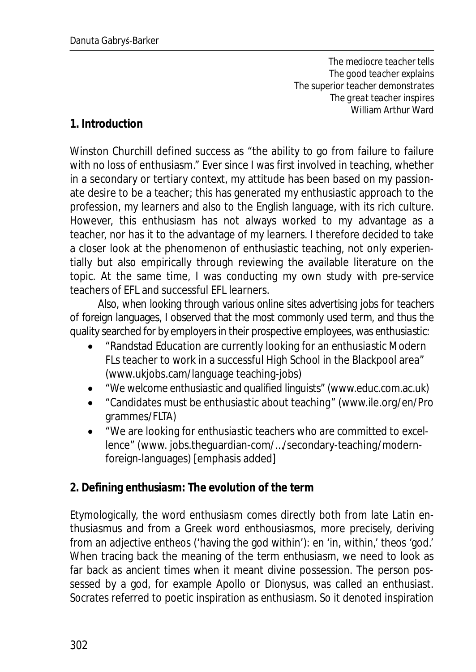*The mediocre teacher tells The good teacher explains The superior teacher demonstrates The great teacher inspires*  William Arthur Ward

### **1. Introduction**

Winston Churchill defined success as "the ability to go from failure to failure with no loss of enthusiasm." Ever since I was first involved in teaching, whether in a secondary or tertiary context, my attitude has been based on my passionate desire to be a teacher; this has generated my enthusiastic approach to the profession, my learners and also to the English language, with its rich culture. However, this enthusiasm has not always worked to my advantage as a teacher, nor has it to the advantage of my learners. I therefore decided to take a closer look at the phenomenon of enthusiastic teaching, not only experientially but also empirically through reviewing the available literature on the topic. At the same time, I was conducting my own study with pre-service teachers of EFL and successful EFL learners.

Also, when looking through various online sites advertising jobs for teachers of foreign languages, I observed that the most commonly used term, and thus the quality searched for by employers in their prospective employees, was *enthusiastic*:

- x "Randstad Education are currently looking for an *enthusiastic* Modern FLs teacher to work in a successful High School in the Blackpool area" (www.ukjobs.cam/language teaching-jobs)
- x "We welcome *enthusiastic* and qualified linguists" (www.educ.com.ac.uk)
- x "Candidates must be *enthusiastic* about teaching" (www.ile.org/en/Pro grammes/FLTA)
- x "We are looking for *enthusiastic* teachers who are committed to excellence" (www. jobs.theguardian-com/…/secondary-teaching/modernforeign-languages) [emphasis added]
- **2. Defining** *enthusiasm:* **The evolution of the term**

Etymologically, the word *enthusiasm* comes directly both from late Latin *enthusiasmus* and from a Greek word *enthousiasmos,* more precisely, deriving from an adjective *entheos* (*'*having the god within'): *en* 'in, within,' *theos* 'god.' When tracing back the meaning of the term *enthusiasm*, we need to look as far back as ancient times when it meant divine possession. The person possessed by a god, for example Apollo or Dionysus, was called an enthusiast. Socrates referred to poetic inspiration as enthusiasm. So it denoted inspiration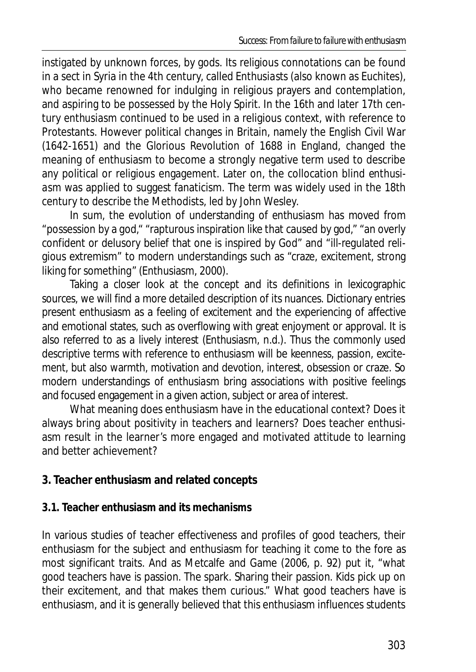instigated by unknown forces, by gods. Its religious connotations can be found in a sect in Syria in the 4th century, called *Enthusiasts* (also known as *Euchites*), who became renowned for indulging in religious prayers and contemplation, and aspiring to be possessed by the Holy Spirit. In the 16th and later 17th century *enthusiasm* continued to be used in a religious context, with reference to Protestants. However political changes in Britain, namely the English Civil War (1642-1651) and the Glorious Revolution of 1688 in England, changed the meaning of enthusiasm to become a strongly negative term used to describe any political or religious engagement. Later on, the collocation *blind enthusiasm* was applied to suggest fanaticism. The term was widely used in the 18th century to describe the Methodists, led by John Wesley.

In sum, the evolution of understanding of *enthusiasm* has moved from "possession by a god," "rapturous inspiration like that caused by god," "an overly confident or delusory belief that one is inspired by God" and "ill-regulated religious extremism" to modern understandings such as "craze, excitement, strong liking for something" (Enthusiasm, 2000).

Taking a closer look at the concept and its definitions in lexicographic sources, we will find a more detailed description of its nuances. Dictionary entries present enthusiasm as a feeling of excitement and the experiencing of affective and emotional states, such as overflowing with great enjoyment or approval. It is also referred to as a lively interest (Enthusiasm, n.d.). Thus the commonly used descriptive terms with reference to *enthusiasm* will be keenness, passion, excitement, but also warmth, motivation and devotion, interest, obsession or craze. So modern understandings of *enthusiasm* bring associations with positive feelings and focused engagement in a given action, subject or area of interest.

What meaning does enthusiasm have in the educational context? Does it always bring about positivity in teachers and learners? Does teacher enthusiasm result in the learner's more engaged and motivated attitude to learning and better achievement?

### **3. Teacher enthusiasm and related concepts**

### **3.1. Teacher enthusiasm and its mechanisms**

In various studies of teacher effectiveness and profiles of good teachers, their enthusiasm for the subject and enthusiasm for teaching it come to the fore as most significant traits. And as Metcalfe and Game (2006, p. 92) put it, "what good teachers have is passion. The spark. Sharing their passion. Kids pick up on their excitement, and that makes them curious." What good teachers have is enthusiasm, and it is generally believed that this enthusiasm influences students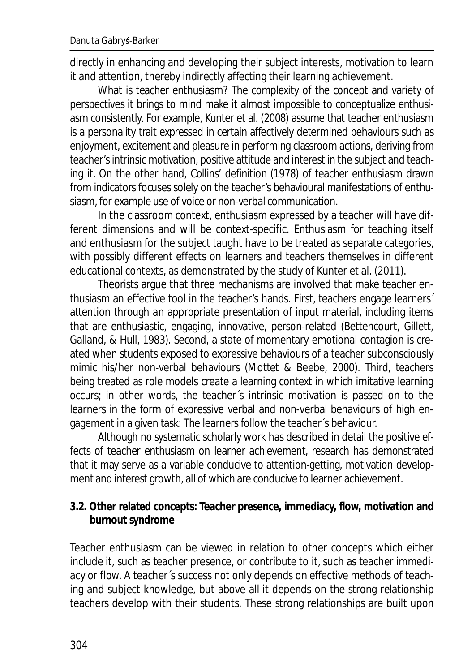directly in enhancing and developing their subject interests, motivation to learn it and attention, thereby indirectly affecting their learning achievement.

What is teacher enthusiasm? The complexity of the concept and variety of perspectives it brings to mind make it almost impossible to conceptualize enthusiasm consistently. For example, Kunter et al. (2008) assume that teacher enthusiasm is a personality trait expressed in certain affectively determined behaviours such as enjoyment, excitement and pleasure in performing classroom actions, deriving from teacher's intrinsic motivation, positive attitude and interest in the subject and teaching it. On the other hand, Collins' definition (1978) of teacher enthusiasm drawn from indicators focuses solely on the teacher's behavioural manifestations of enthusiasm, for example use of voice or non-verbal communication.

In the classroom context, enthusiasm expressed by a teacher will have different dimensions and will be context-specific. Enthusiasm for teaching itself and enthusiasm for the subject taught have to be treated as separate categories, with possibly different effects on learners and teachers themselves in different educational contexts, as demonstrated by the study of Kunter et al. (2011).

Theorists argue that three mechanisms are involved that make teacher enthusiasm an effective tool in the teacher's hands. First, teachers engage learners´ attention through an appropriate presentation of input material, including items that are enthusiastic, engaging, innovative, person-related (Bettencourt, Gillett, Galland, & Hull, 1983). Second, a state of momentary emotional contagion is created when students exposed to expressive behaviours of a teacher subconsciously mimic his/her non-verbal behaviours (Mottet & Beebe, 2000). Third, teachers being treated as role models create a learning context in which imitative learning occurs; in other words, the teacher´s intrinsic motivation is passed on to the learners in the form of expressive verbal and non-verbal behaviours of high engagement in a given task: The learners follow the teacher´s behaviour.

Although no systematic scholarly work has described in detail the positive effects of teacher enthusiasm on learner achievement, research has demonstrated that it may serve as a variable conducive to attention-getting, motivation development and interest growth, all of which are conducive to learner achievement.

**3.2. Other related concepts: Teacher presence, immediacy, flow, motivation and burnout syndrome** 

Teacher enthusiasm can be viewed in relation to other concepts which either include it, such as teacher presence, or contribute to it, such as teacher immediacy or flow. A teacher´s success not only depends on effective methods of teaching and subject knowledge, but above all it depends on the strong relationship teachers develop with their students. These strong relationships are built upon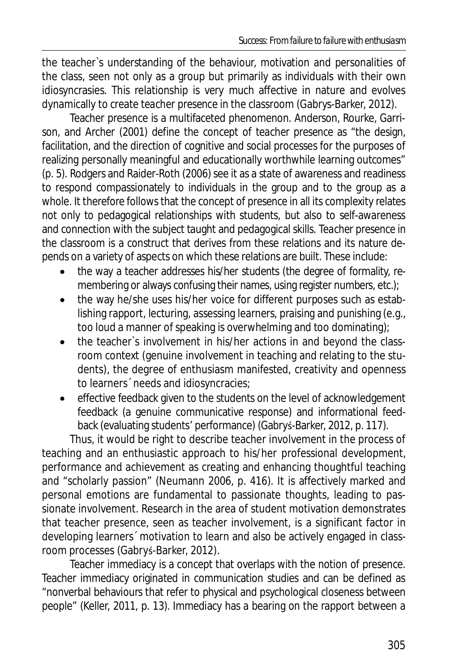the teacher`s understanding of the behaviour, motivation and personalities of the class, seen not only as a group but primarily as individuals with their own idiosyncrasies. This relationship is very much affective in nature and evolves dynamically to create *teacher presence* in the classroom (Gabrys-Barker, 2012).

Teacher presence is a multifaceted phenomenon. Anderson, Rourke, Garrison, and Archer (2001) define the concept of *teacher presence* as "the design, facilitation, and the direction of cognitive and social processes for the purposes of realizing personally meaningful and educationally worthwhile learning outcomes" (p. 5). Rodgers and Raider-Roth (2006) see it as a state of awareness and readiness to respond compassionately to individuals in the group and to the group as a whole. It therefore follows that the concept of *presence* in all its complexity relates not only to pedagogical relationships with students, but also to self-awareness and connection with the subject taught and pedagogical skills. *Teacher presence* in the classroom is a construct that derives from these relations and its nature depends on a variety of aspects on which these relations are built. These include:

- the way a teacher addresses his/her students (the degree of formality, remembering or always confusing their names, using register numbers, etc.);
- the way he/she uses his/her voice for different purposes such as establishing rapport, lecturing, assessing learners, praising and punishing (e.g., too loud a manner of speaking is overwhelming and too dominating);
- the teacher's involvement in his/her actions in and beyond the classroom context (genuine involvement in teaching and relating to the students), the degree of enthusiasm manifested, creativity and openness to learners´ needs and idiosyncracies;
- effective feedback given to the students on the level of acknowledgement feedback (a genuine communicative response) and informational feedback (evaluating students' performance) (Gabryś-Barker, 2012, p. 117).

Thus, it would be right to describe teacher involvement in the process of teaching and an enthusiastic approach to his/her professional development, performance and achievement as creating and enhancing thoughtful teaching and "scholarly passion" (Neumann 2006, p. 416). It is affectively marked and personal emotions are fundamental to passionate thoughts, leading to passionate involvement. Research in the area of student motivation demonstrates that teacher presence, seen as teacher involvement, is a significant factor in developing learners´ motivation to learn and also be actively engaged in classroom processes (Gabryś-Barker, 2012).

Teacher immediacy is a concept that overlaps with the notion of presence. Teacher immediacy originated in communication studies and can be defined as "nonverbal behaviours that refer to physical and psychological closeness between people" (Keller, 2011, p. 13). Immediacy has a bearing on the rapport between a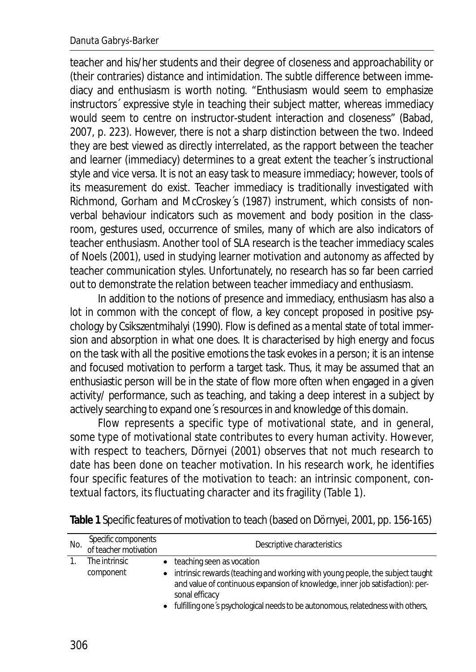teacher and his/her students and their degree of closeness and approachability or (their contraries) distance and intimidation. The subtle difference between immediacy and enthusiasm is worth noting. "Enthusiasm would seem to emphasize instructors´ expressive style in teaching their subject matter, whereas immediacy would seem to centre on instructor-student interaction and closeness" (Babad, 2007, p. 223). However, there is not a sharp distinction between the two. Indeed they are best viewed as directly interrelated, as the rapport between the teacher and learner (immediacy) determines to a great extent the teacher´s instructional style and vice versa. It is not an easy task to measure immediacy; however, tools of its measurement do exist. Teacher immediacy is traditionally investigated with Richmond, Gorham and McCroskey´s (1987) instrument, which consists of nonverbal behaviour indicators such as movement and body position in the classroom, gestures used, occurrence of smiles, many of which are also indicators of teacher enthusiasm. Another tool of SLA research is the teacher immediacy scales of Noels (2001), used in studying learner motivation and autonomy as affected by teacher communication styles. Unfortunately, no research has so far been carried out to demonstrate the relation between teacher immediacy and enthusiasm.

In addition to the notions of presence and immediacy, enthusiasm has also a lot in common with the concept of *flow,* a key concept proposed in positive psychology by Csikszentmihalyi (1990). Flow is defined as a mental state of total immersion and absorption in what one does. It is characterised by high energy and focus on the task with all the positive emotions the task evokes in a person; it is an intense and focused motivation to perform a target task. Thus, it may be assumed that an enthusiastic person will be in the state of flow more often when engaged in a given activity/ performance, such as teaching, and taking a deep interest in a subject by actively searching to expand one´s resources in and knowledge of this domain.

Flow represents a specific type of motivational state, and in general, some type of motivational state contributes to every human activity*.* However, with respect to teachers, Dörnyei (2001) observes that not much research to date has been done on teacher motivation. In his research work, he identifies four specific features of the motivation to teach: an intrinsic component, contextual factors, its fluctuating character and its fragility (Table 1).

| No. | Specific components<br>of teacher motivation | Descriptive characteristics                                                                                                                                                                                       |  |
|-----|----------------------------------------------|-------------------------------------------------------------------------------------------------------------------------------------------------------------------------------------------------------------------|--|
|     | The intrinsic<br>component                   | • teaching seen as vocation<br>• intrinsic rewards (teaching and working with young people, the subject taught<br>and value of continuous expansion of knowledge, inner job satisfaction): per-<br>sonal efficacy |  |
|     |                                              | • fulfilling one's psychological needs to be autonomous, relatedness with others,                                                                                                                                 |  |

**Table 1** Specific features of motivation to teach (based on Dörnyei, 2001, pp. 156-165)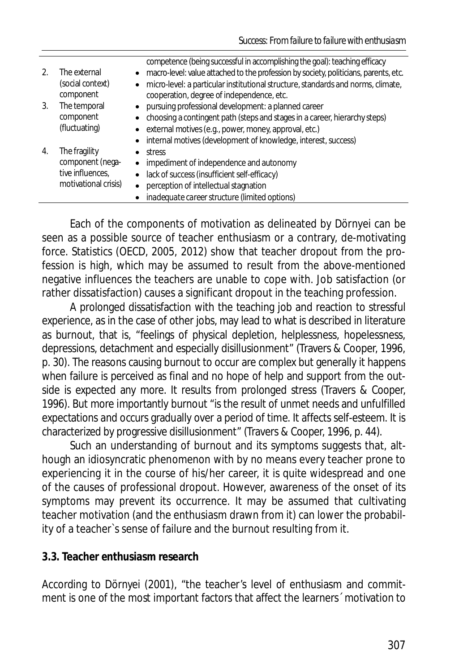|    |                                                                               | competence (being successful in accomplishing the goal): teaching efficacy                    |
|----|-------------------------------------------------------------------------------|-----------------------------------------------------------------------------------------------|
| 2. | The external                                                                  | • macro-level: value attached to the profession by society, politicians, parents, etc.        |
|    | (social context)                                                              | micro-level: a particular institutional structure, standards and norms, climate,<br>$\bullet$ |
|    | component                                                                     | cooperation, degree of independence, etc.                                                     |
| 3. | The temporal<br>component<br>(fluctuating)                                    | pursuing professional development: a planned career<br>$\bullet$                              |
|    |                                                                               | choosing a contingent path (steps and stages in a career, hierarchy steps)                    |
|    |                                                                               | • external motives (e.g., power, money, approval, etc.)                                       |
|    |                                                                               | • internal motives (development of knowledge, interest, success)                              |
| 4. | The fragility<br>component (nega-<br>tive influences,<br>motivational crisis) | stress                                                                                        |
|    |                                                                               | impediment of independence and autonomy<br>$\bullet$                                          |
|    |                                                                               | lack of success (insufficient self-efficacy)<br>$\bullet$                                     |
|    |                                                                               | perception of intellectual stagnation<br>$\bullet$                                            |
|    |                                                                               | inadequate career structure (limited options)                                                 |
|    |                                                                               |                                                                                               |

Each of the components of motivation as delineated by Dörnyei can be seen as a possible source of teacher enthusiasm or a contrary, de-motivating force. Statistics (OECD, 2005, 2012) show that teacher dropout from the profession is high, which may be assumed to result from the above-mentioned negative influences the teachers are unable to cope with. Job satisfaction (or rather dissatisfaction) causes a significant dropout in the teaching profession.

A prolonged dissatisfaction with the teaching job and reaction to stressful experience, as in the case of other jobs, may lead to what is described in literature as burnout*,* that is, "feelings of physical depletion, helplessness, hopelessness, depressions, detachment and especially disillusionment" (Travers & Cooper, 1996, p. 30). The reasons causing burnout to occur are complex but generally it happens when failure is perceived as final and no hope of help and support from the outside is expected any more. It results from prolonged stress (Travers & Cooper, 1996). But more importantly burnout "is the result of unmet needs and unfulfilled expectations and occurs gradually over a period of time. It affects self-esteem. It is characterized by progressive disillusionment" (Travers & Cooper, 1996, p. 44).

Such an understanding of burnout and its symptoms suggests that, although an idiosyncratic phenomenon with by no means every teacher prone to experiencing it in the course of his/her career, it is quite widespread and one of the causes of professional dropout. However, awareness of the onset of its symptoms may prevent its occurrence. It may be assumed that cultivating teacher motivation (and the enthusiasm drawn from it) can lower the probability of a teacher`s sense of failure and the burnout resulting from it.

### **3.3. Teacher enthusiasm research**

According to Dörnyei (2001), "the teacher's level of enthusiasm and commitment is one of the most important factors that affect the learners´ motivation to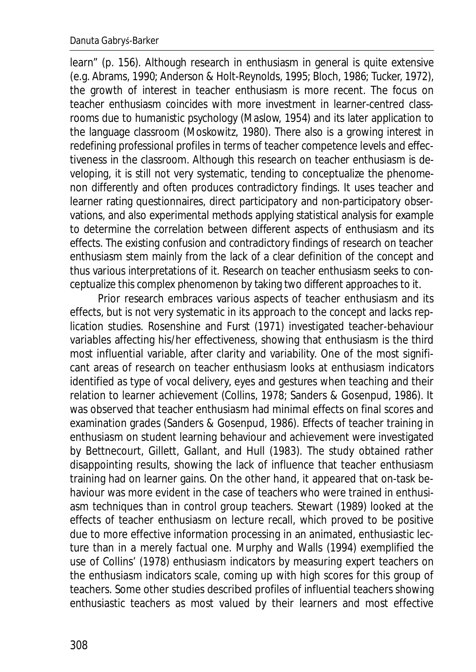learn" (p. 156). Although research in enthusiasm in general is quite extensive (e.g. Abrams, 1990; Anderson & Holt-Reynolds, 1995; Bloch, 1986; Tucker, 1972), the growth of interest in teacher enthusiasm is more recent. The focus on teacher enthusiasm coincides with more investment in learner-centred classrooms due to humanistic psychology (Maslow, 1954) and its later application to the language classroom (Moskowitz, 1980). There also is a growing interest in redefining professional profiles in terms of teacher competence levels and effectiveness in the classroom. Although this research on teacher enthusiasm is developing, it is still not very systematic, tending to conceptualize the phenomenon differently and often produces contradictory findings. It uses teacher and learner rating questionnaires, direct participatory and non-participatory observations, and also experimental methods applying statistical analysis for example to determine the correlation between different aspects of enthusiasm and its effects. The existing confusion and contradictory findings of research on teacher enthusiasm stem mainly from the lack of a clear definition of the concept and thus various interpretations of it. Research on teacher enthusiasm seeks to conceptualize this complex phenomenon by taking two different approaches to it.

Prior research embraces various aspects of teacher enthusiasm and its effects, but is not very systematic in its approach to the concept and lacks replication studies. Rosenshine and Furst (1971) investigated teacher-behaviour variables affecting his/her effectiveness, showing that enthusiasm is the third most influential variable, after clarity and variability. One of the most significant areas of research on teacher enthusiasm looks at enthusiasm indicators identified as type of vocal delivery, eyes and gestures when teaching and their relation to learner achievement (Collins, 1978; Sanders & Gosenpud, 1986). It was observed that teacher enthusiasm had minimal effects on final scores and examination grades (Sanders & Gosenpud, 1986). Effects of teacher training in enthusiasm on student learning behaviour and achievement were investigated by Bettnecourt, Gillett, Gallant, and Hull (1983). The study obtained rather disappointing results, showing the lack of influence that teacher enthusiasm training had on learner gains. On the other hand, it appeared that on-task behaviour was more evident in the case of teachers who were trained in enthusiasm techniques than in control group teachers. Stewart (1989) looked at the effects of teacher enthusiasm on lecture recall, which proved to be positive due to more effective information processing in an animated, enthusiastic lecture than in a merely factual one. Murphy and Walls (1994) exemplified the use of Collins' (1978) enthusiasm indicators by measuring expert teachers on the enthusiasm indicators scale, coming up with high scores for this group of teachers. Some other studies described profiles of influential teachers showing enthusiastic teachers as most valued by their learners and most effective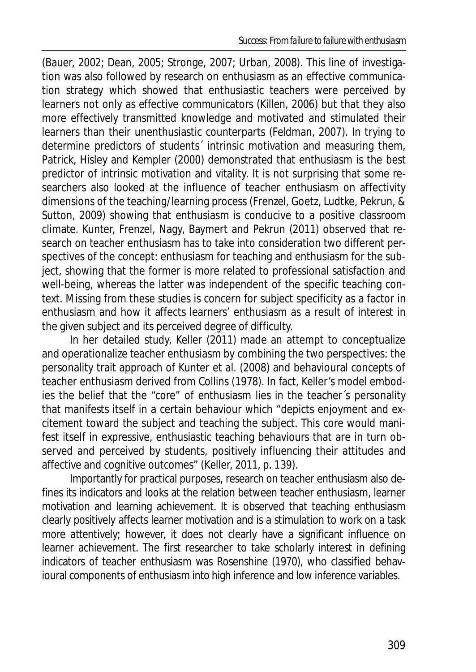(Bauer, 2002; Dean, 2005; Stronge, 2007; Urban, 2008). This line of investigation was also followed by research on enthusiasm as an effective communication strategy which showed that enthusiastic teachers were perceived by learners not only as effective communicators (Killen, 2006) but that they also more effectively transmitted knowledge and motivated and stimulated their learners than their unenthusiastic counterparts (Feldman, 2007). In trying to determine predictors of students´ intrinsic motivation and measuring them, Patrick, Hisley and Kempler (2000) demonstrated that enthusiasm is the best predictor of intrinsic motivation and vitality. It is not surprising that some researchers also looked at the influence of teacher enthusiasm on affectivity dimensions of the teaching/learning process (Frenzel, Goetz, Ludtke, Pekrun, & Sutton, 2009) showing that enthusiasm is conducive to a positive classroom climate. Kunter, Frenzel, Nagy, Baymert and Pekrun (2011) observed that research on teacher enthusiasm has to take into consideration two different perspectives of the concept: enthusiasm for teaching and enthusiasm for the subject, showing that the former is more related to professional satisfaction and well-being, whereas the latter was independent of the specific teaching context. Missing from these studies is concern for subject specificity as a factor in enthusiasm and how it affects learners' enthusiasm as a result of interest in the given subject and its perceived degree of difficulty.

In her detailed study, Keller (2011) made an attempt to conceptualize and operationalize teacher enthusiasm by combining the two perspectives: the personality trait approach of Kunter et al. (2008) and behavioural concepts of teacher enthusiasm derived from Collins (1978). In fact, Keller's model embodies the belief that the "core" of enthusiasm lies in the teacher´s personality that manifests itself in a certain behaviour which "depicts enjoyment and excitement toward the subject and teaching the subject. This core would manifest itself in expressive, enthusiastic teaching behaviours that are in turn observed and perceived by students, positively influencing their attitudes and affective and cognitive outcomes" (Keller, 2011, p. 139).

Importantly for practical purposes, research on teacher enthusiasm also defines its indicators and looks at the relation between teacher enthusiasm, learner motivation and learning achievement. It is observed that teaching enthusiasm clearly positively affects learner motivation and is a stimulation to work on a task more attentively; however, it does not clearly have a significant influence on learner achievement. The first researcher to take scholarly interest in defining indicators of teacher enthusiasm was Rosenshine (1970), who classified behavioural components of enthusiasm into high inference and low inference variables.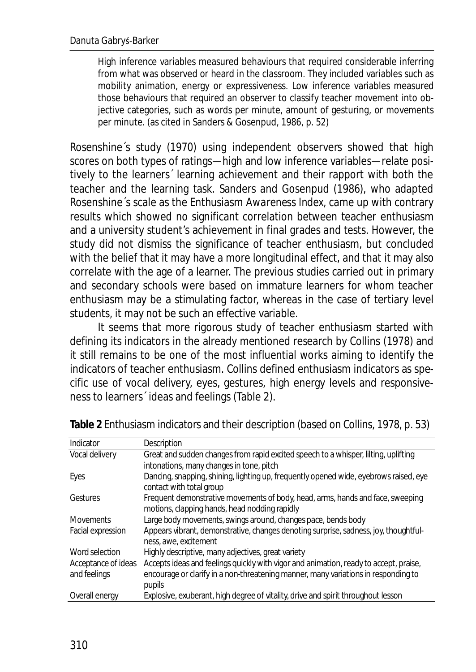High inference variables measured behaviours that required considerable inferring from what was observed or heard in the classroom. They included variables such as mobility animation, energy or expressiveness. Low inference variables measured those behaviours that required an observer to classify teacher movement into objective categories, such as words per minute, amount of gesturing, or movements per minute. (as cited in Sanders & Gosenpud, 1986, p. 52)

Rosenshine´s study (1970) using independent observers showed that high scores on both types of ratings—high and low inference variables—relate positively to the learners´ learning achievement and their rapport with both the teacher and the learning task. Sanders and Gosenpud (1986), who adapted Rosenshine´s scale as the *Enthusiasm Awareness Index*, came up with contrary results which showed no significant correlation between teacher enthusiasm and a university student's achievement in final grades and tests. However, the study did not dismiss the significance of teacher enthusiasm, but concluded with the belief that it may have a more longitudinal effect, and that it may also correlate with the age of a learner. The previous studies carried out in primary and secondary schools were based on immature learners for whom teacher enthusiasm may be a stimulating factor, whereas in the case of tertiary level students, it may not be such an effective variable.

It seems that more rigorous study of teacher enthusiasm started with defining its indicators in the already mentioned research by Collins (1978) and it still remains to be one of the most influential works aiming to identify the indicators of teacher enthusiasm. Collins defined enthusiasm indicators as specific use of vocal delivery, eyes, gestures, high energy levels and responsiveness to learners´ ideas and feelings (Table 2).

| Indicator           | Description                                                                           |  |
|---------------------|---------------------------------------------------------------------------------------|--|
| Vocal delivery      | Great and sudden changes from rapid excited speech to a whisper, lilting, uplifting   |  |
|                     | intonations, many changes in tone, pitch                                              |  |
| Eyes                | Dancing, snapping, shining, lighting up, frequently opened wide, eyebrows raised, eye |  |
|                     | contact with total group                                                              |  |
| Gestures            | Frequent demonstrative movements of body, head, arms, hands and face, sweeping        |  |
|                     | motions, clapping hands, head nodding rapidly                                         |  |
| <b>Movements</b>    | Large body movements, swings around, changes pace, bends body                         |  |
| Facial expression   | Appears vibrant, demonstrative, changes denoting surprise, sadness, joy, thoughtful-  |  |
|                     | ness, awe, excitement                                                                 |  |
| Word selection      | Highly descriptive, many adjectives, great variety                                    |  |
| Acceptance of ideas | Accepts ideas and feelings quickly with vigor and animation, ready to accept, praise, |  |
| and feelings        | encourage or clarify in a non-threatening manner, many variations in responding to    |  |
|                     | pupils                                                                                |  |
| Overall energy      | Explosive, exuberant, high degree of vitality, drive and spirit throughout lesson     |  |

**Table 2** Enthusiasm indicators and their description (based on Collins, 1978, p. 53)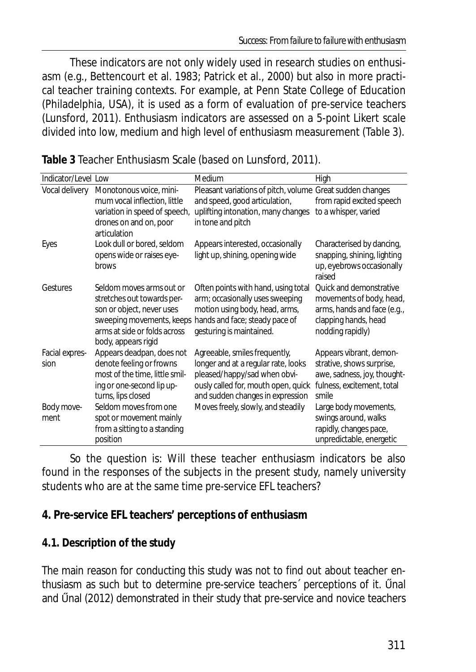These indicators are not only widely used in research studies on enthusiasm (e.g., Bettencourt et al. 1983; Patrick et al., 2000) but also in more practical teacher training contexts. For example, at Penn State College of Education (Philadelphia, USA), it is used as a form of evaluation of pre-service teachers (Lunsford, 2011). Enthusiasm indicators are assessed on a 5-point Likert scale divided into low, medium and high level of enthusiasm measurement (Table 3).

| Indicator/Level Low |                                                     | Medium                                                    | High                                |
|---------------------|-----------------------------------------------------|-----------------------------------------------------------|-------------------------------------|
| Vocal delivery      | Monotonous voice, mini-                             | Pleasant variations of pitch, volume Great sudden changes |                                     |
|                     | mum vocal inflection, little                        | and speed, good articulation,                             | from rapid excited speech           |
|                     | variation in speed of speech,                       | uplifting intonation, many changes                        | to a whisper, varied                |
|                     | drones on and on, poor                              | in tone and pitch                                         |                                     |
|                     | articulation                                        |                                                           |                                     |
| Eyes                | Look dull or bored, seldom                          | Appears interested, occasionally                          | Characterised by dancing,           |
|                     | opens wide or raises eye-                           | light up, shining, opening wide                           | snapping, shining, lighting         |
|                     | brows                                               |                                                           | up, eyebrows occasionally<br>raised |
| Gestures            | Seldom moves arms out or                            | Often points with hand, using total                       | Ouick and demonstrative             |
|                     | stretches out towards per-                          | arm; occasionally uses sweeping                           | movements of body, head,            |
|                     | son or object, never uses                           | motion using body, head, arms,                            | arms, hands and face (e.g.,         |
|                     | sweeping movements, keeps                           | hands and face; steady pace of                            | clapping hands, head                |
|                     | arms at side or folds across<br>body, appears rigid | gesturing is maintained.                                  | nodding rapidly)                    |
| Facial expres-      | Appears deadpan, does not                           | Agreeable, smiles frequently,                             | Appears vibrant, demon-             |
| sion                | denote feeling or frowns                            | longer and at a regular rate, looks                       | strative, shows surprise,           |
|                     | most of the time, little smil-                      | pleased/happy/sad when obvi-                              | awe, sadness, joy, thought-         |
|                     | ing or one-second lip up-                           | ously called for, mouth open, quick                       | fulness, excitement, total          |
|                     | turns, lips closed                                  | and sudden changes in expression                          | smile                               |
| Body move-          | Seldom moves from one                               | Moves freely, slowly, and steadily                        | Large body movements,               |
| ment                | spot or movement mainly                             |                                                           | swings around, walks                |
|                     | from a sitting to a standing                        |                                                           | rapidly, changes pace,              |
|                     | position                                            |                                                           | unpredictable, energetic            |

**Table 3** Teacher Enthusiasm Scale (based on Lunsford, 2011).

So the question is: Will these teacher enthusiasm indicators be also found in the responses of the subjects in the present study, namely university students who are at the same time pre-service EFL teachers?

### **4. Pre-service EFL teachers' perceptions of enthusiasm**

### **4.1. Description of the study**

The main reason for conducting this study was not to find out about teacher enthusiasm as such but to determine pre-service teachers' perceptions of it. Unal and Unal (2012) demonstrated in their study that pre-service and novice teachers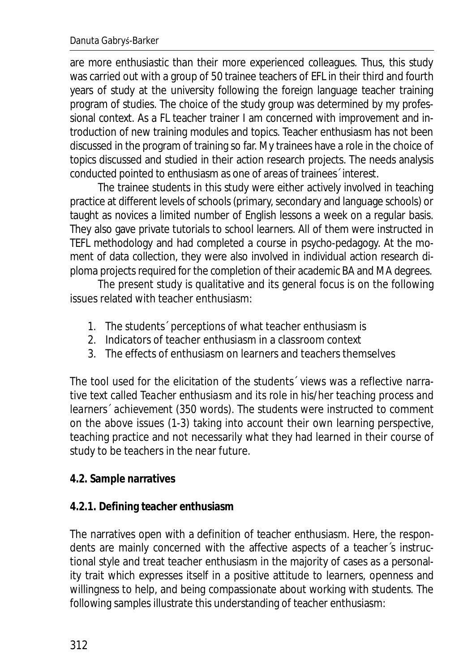are more enthusiastic than their more experienced colleagues. Thus, this study was carried out with a group of 50 trainee teachers of EFL in their third and fourth years of study at the university following the foreign language teacher training program of studies. The choice of the study group was determined by my professional context. As a FL teacher trainer I am concerned with improvement and introduction of new training modules and topics. Teacher enthusiasm has not been discussed in the program of training so far. My trainees have a role in the choice of topics discussed and studied in their action research projects. The needs analysis conducted pointed to enthusiasm as one of areas of trainees´ interest.

The trainee students in this study were either actively involved in teaching practice at different levels of schools (primary, secondary and language schools) or taught as novices a limited number of English lessons a week on a regular basis. They also gave private tutorials to school learners. All of them were instructed in TEFL methodology and had completed a course in psycho-pedagogy. At the moment of data collection, they were also involved in individual action research diploma projects required for the completion of their academic BA and MA degrees.

The present study is qualitative and its general focus is on the following issues related with teacher enthusiasm:

- 1. The students´ perceptions of what teacher enthusiasm is
- 2. Indicators of teacher enthusiasm in a classroom context
- 3. The effects of enthusiasm on learners and teachers themselves

The tool used for the elicitation of the students´ views was a reflective narrative text called *Teacher enthusiasm and its role in his/her teaching process and learners´ achievement* (350 words). The students were instructed to comment on the above issues (1-3) taking into account their own learning perspective, teaching practice and not necessarily what they had learned in their course of study to be teachers in the near future.

### **4.2. Sample narratives**

### **4.2.1. Defining teacher enthusiasm**

The narratives open with a definition of teacher enthusiasm. Here, the respondents are mainly concerned with the affective aspects of a teacher´s instructional style and treat teacher enthusiasm in the majority of cases as a personality trait which expresses itself in a positive attitude to learners, openness and willingness to help, and being compassionate about working with students. The following samples illustrate this understanding of teacher enthusiasm: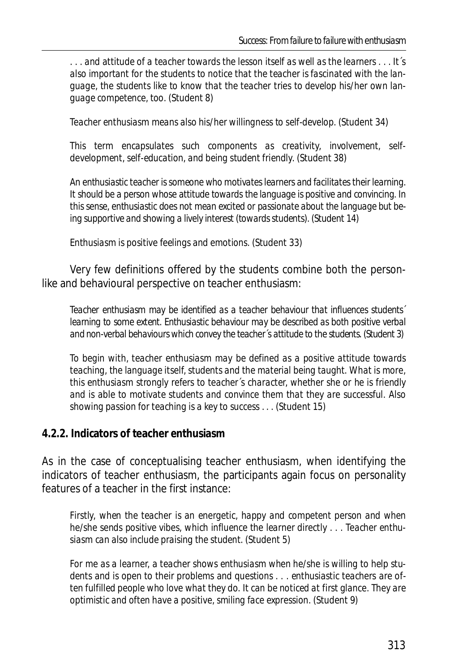*. . . and attitude of a teacher towards the lesson itself as well as the learners . . . It´s also important for the students to notice that the teacher is fascinated with the language, the students like to know that the teacher tries to develop his/her own language competence, too.* (Student 8)

*Teacher enthusiasm means also his/her willingness to self-develop.* (Student 34)

*This term encapsulates such components as creativity, involvement, selfdevelopment, self-education, and being student friendly.* (Student 38)

*An enthusiastic teacher is someone who motivates learners and facilitates their learning. It should be a person whose attitude towards the language is positive and convincing. In this sense, enthusiastic does not mean excited or passionate about the language but being supportive and showing a lively interest (towards students).* (Student 14)

*Enthusiasm is positive feelings and emotions.* (Student 33)

Very few definitions offered by the students combine both the personlike and behavioural perspective on teacher enthusiasm:

*Teacher enthusiasm may be identified as a teacher behaviour that influences students´ learning to some extent. Enthusiastic behaviour may be described as both positive verbal*  and non-verbal behaviours which convey the teacher's attitude to the students. (Student 3)

*To begin with, teacher enthusiasm may be defined as a positive attitude towards teaching, the language itself, students and the material being taught. What is more, this enthusiasm strongly refers to teacher´s character, whether she or he is friendly and is able to motivate students and convince them that they are successful. Also showing passion for teaching is a key to success . . .* (Student 15)

#### **4.2.2. Indicators of teacher enthusiasm**

As in the case of conceptualising teacher enthusiasm, when identifying the indicators of teacher enthusiasm, the participants again focus on personality features of a teacher in the first instance:

*Firstly, when the teacher is an energetic, happy and competent person and when he/she sends positive vibes, which influence the learner directly . . . Teacher enthusiasm can also include praising the student*. (Student 5)

*For me as a learner, a teacher shows enthusiasm when he/she is willing to help students and is open to their problems and questions . . . enthusiastic teachers are often fulfilled people who love what they do. It can be noticed at first glance. They are optimistic and often have a positive, smiling face expression.* (Student 9)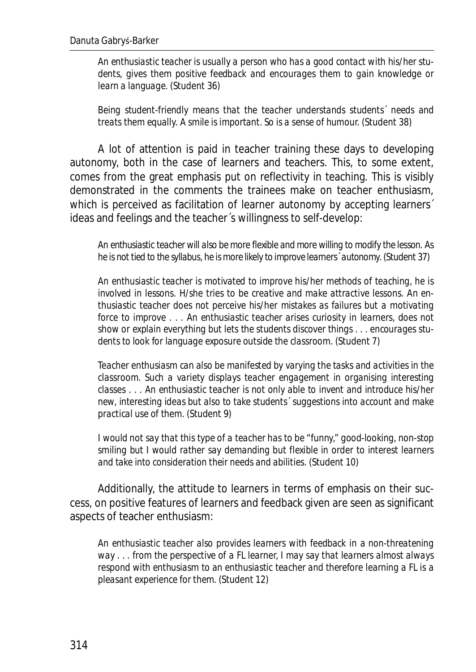*An enthusiastic teacher is usually a person who has a good contact with his/her students, gives them positive feedback and encourages them to gain knowledge or learn a language.* (Student 36)

*Being student-friendly means that the teacher understands students´ needs and treats them equally. A smile is important. So is a sense of humour.* (Student 38)

A lot of attention is paid in teacher training these days to developing autonomy, both in the case of learners and teachers. This, to some extent, comes from the great emphasis put on reflectivity in teaching. This is visibly demonstrated in the comments the trainees make on teacher enthusiasm, which is perceived as facilitation of learner autonomy by accepting learners<sup>7</sup> ideas and feelings and the teacher´s willingness to self-develop:

*An enthusiastic teacher will also be more flexible and more willing to modify the lesson. As he is not tied to the syllabus, he is more likely to improve learners´ autonomy.* (Student 37)

*An enthusiastic teacher is motivated to improve his/her methods of teaching, he is involved in lessons. H/she tries to be creative and make attractive lessons. An enthusiastic teacher does not perceive his/her mistakes as failures but a motivating force to improve . . . An enthusiastic teacher arises curiosity in learners, does not show or explain everything but lets the students discover things . . . encourages students to look for language exposure outside the classroom.* (Student 7)

*Teacher enthusiasm can also be manifested by varying the tasks and activities in the classroom. Such a variety displays teacher engagement in organising interesting classes . . . An enthusiastic teacher is not only able to invent and introduce his/her new, interesting ideas but also to take students´ suggestions into account and make practical use of them.* (Student 9)

*I would not say that this type of a teacher has to be "funny," good-looking, non-stop smiling but I would rather say demanding but flexible in order to interest learners and take into consideration their needs and abilities.* (Student 10)

Additionally, the attitude to learners in terms of emphasis on their success, on positive features of learners and feedback given are seen as significant aspects of teacher enthusiasm:

*An enthusiastic teacher also provides learners with feedback in a non-threatening way . . . from the perspective of a FL learner, I may say that learners almost always respond with enthusiasm to an enthusiastic teacher and therefore learning a FL is a pleasant experience for them*. (Student 12)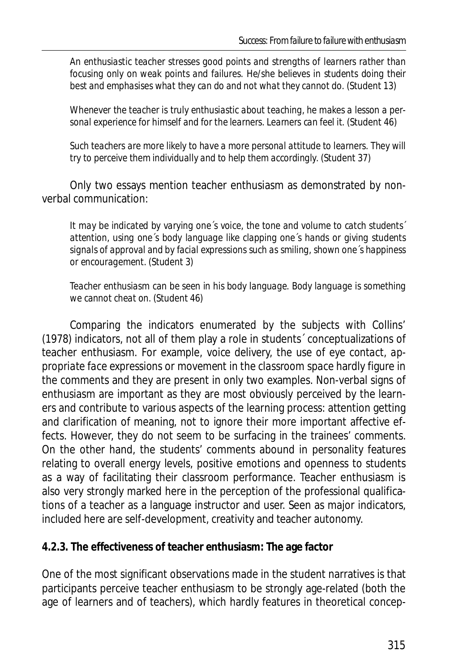*An enthusiastic teacher stresses good points and strengths of learners rather than focusing only on weak points and failures. He/she believes in students doing their best and emphasises what they can do and not what they cannot do.* (Student 13)

*Whenever the teacher is truly enthusiastic about teaching, he makes a lesson a personal experience for himself and for the learners. Learners can feel it.* (Student 46)

*Such teachers are more likely to have a more personal attitude to learners. They will try to perceive them individually and to help them accordingly.* (Student 37)

Only two essays mention teacher enthusiasm as demonstrated by nonverbal communication:

*It may be indicated by varying one´s voice, the tone and volume to catch students´ attention, using one´s body language like clapping one´s hands or giving students signals of approval and by facial expressions such as smiling, shown one´s happiness or encouragement.* (Student 3)

*Teacher enthusiasm can be seen in his body language. Body language is something we cannot cheat on.* (Student 46)

Comparing the indicators enumerated by the subjects with Collins' (1978) indicators, not all of them play a role in students´ conceptualizations of teacher enthusiasm. For example, *voice delivery, the use of eye contact, appropriate face expressions* or *movement in the classroom space* hardly figure in the comments and they are present in only two examples. Non-verbal signs of enthusiasm are important as they are most obviously perceived by the learners and contribute to various aspects of the learning process: attention getting and clarification of meaning, not to ignore their more important affective effects. However, they do not seem to be surfacing in the trainees' comments. On the other hand, the students' comments abound in personality features relating to overall energy levels, positive emotions and openness to students as a way of facilitating their classroom performance. Teacher enthusiasm is also very strongly marked here in the perception of the professional qualifications of a teacher as a language instructor and user. Seen as major indicators, included here are self-development, creativity and teacher autonomy.

### **4.2.3. The effectiveness of teacher enthusiasm: The age factor**

One of the most significant observations made in the student narratives is that participants perceive teacher enthusiasm to be strongly age-related (both the age of learners and of teachers), which hardly features in theoretical concep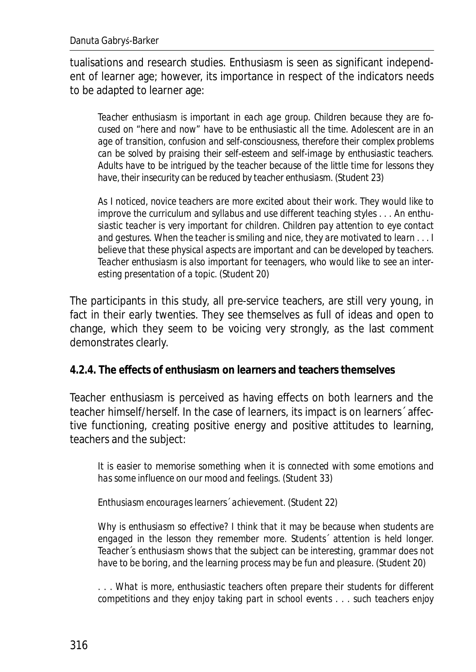tualisations and research studies. Enthusiasm is seen as significant independent of learner age; however, its importance in respect of the indicators needs to be adapted to learner age:

*Teacher enthusiasm is important in each age group. Children because they are focused on "here and now" have to be enthusiastic all the time. Adolescent are in an age of transition, confusion and self-consciousness, therefore their complex problems can be solved by praising their self-esteem and self-image by enthusiastic teachers. Adults have to be intrigued by the teacher because of the little time for lessons they have, their insecurity can be reduced by teacher enthusiasm.* (Student 23)

*As I noticed, novice teachers are more excited about their work. They would like to improve the curriculum and syllabus and use different teaching styles . . . An enthusiastic teacher is very important for children. Children pay attention to eye contact and gestures. When the teacher is smiling and nice, they are motivated to learn . . . I believe that these physical aspects are important and can be developed by teachers. Teacher enthusiasm is also important for teenagers, who would like to see an interesting presentation of a topic.* (Student 20)

The participants in this study, all pre-service teachers, are still very young, in fact in their early twenties. They see themselves as full of ideas and open to change, which they seem to be voicing very strongly, as the last comment demonstrates clearly.

**4.2.4. The effects of enthusiasm on learners and teachers themselves** 

Teacher enthusiasm is perceived as having effects on both learners and the teacher himself/herself. In the case of learners, its impact is on learners´ affective functioning, creating positive energy and positive attitudes to learning, teachers and the subject:

*It is easier to memorise something when it is connected with some emotions and has some influence on our mood and feelings.* (Student 33)

*Enthusiasm encourages learners´ achievement.* (Student 22)

*Why is enthusiasm so effective? I think that it may be because when students are*  engaged in the lesson they remember more. Students<sup>2</sup> attention is held longer. *Teacher´s enthusiasm shows that the subject can be interesting, grammar does not have to be boring, and the learning process may be fun and pleasure.* (Student 20)

*. . . What is more, enthusiastic teachers often prepare their students for different competitions and they enjoy taking part in school events . . . such teachers enjoy*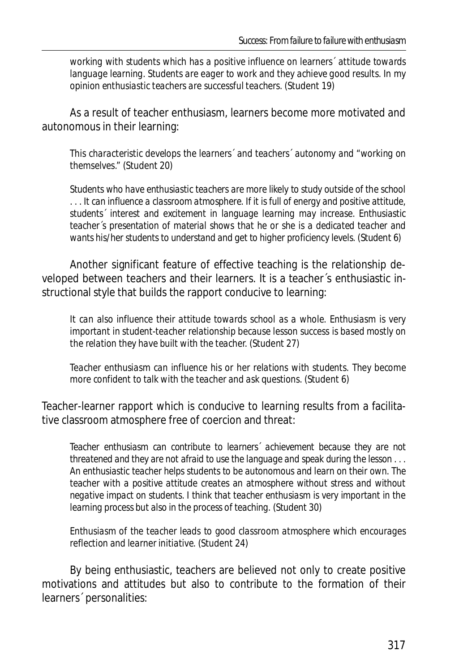*working with students which has a positive influence on learners´ attitude towards language learning. Students are eager to work and they achieve good results. In my opinion enthusiastic teachers are successful teachers.* (Student 19)

As a result of teacher enthusiasm, learners become more motivated and autonomous in their learning:

*This characteristic develops the learners´ and teachers´ autonomy and "working on themselves."* (Student 20)

*Students who have enthusiastic teachers are more likely to study outside of the school . . . It can influence a classroom atmosphere. If it is full of energy and positive attitude, students´ interest and excitement in language learning may increase. Enthusiastic teacher´s presentation of material shows that he or she is a dedicated teacher and wants his/her students to understand and get to higher proficiency levels.* (Student 6)

Another significant feature of effective teaching is the relationship developed between teachers and their learners. It is a teacher´s enthusiastic instructional style that builds the rapport conducive to learning:

*It can also influence their attitude towards school as a whole. Enthusiasm is very important in student-teacher relationship because lesson success is based mostly on the relation they have built with the teacher.* (Student 27)

*Teacher enthusiasm can influence his or her relations with students. They become more confident to talk with the teacher and ask questions.* (Student 6)

Teacher-learner rapport which is conducive to learning results from a facilitative classroom atmosphere free of coercion and threat:

*Teacher enthusiasm can contribute to learners´ achievement because they are not threatened and they are not afraid to use the language and speak during the lesson . . . An enthusiastic teacher helps students to be autonomous and learn on their own. The teacher with a positive attitude creates an atmosphere without stress and without negative impact on students. I think that teacher enthusiasm is very important in the learning process but also in the process of teaching.* (Student 30)

*Enthusiasm of the teacher leads to good classroom atmosphere which encourages reflection and learner initiative.* (Student 24)

By being enthusiastic, teachers are believed not only to create positive motivations and attitudes but also to contribute to the formation of their learners´ personalities: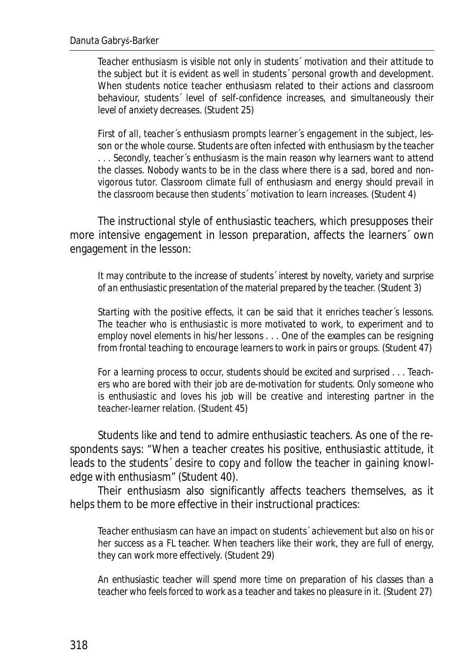*Teacher enthusiasm is visible not only in students´ motivation and their attitude to the subject but it is evident as well in students´ personal growth and development. When students notice teacher enthusiasm related to their actions and classroom behaviour, students´ level of self-confidence increases, and simultaneously their level of anxiety decreases.* (Student 25)

*First of all, teacher´s enthusiasm prompts learner´s engagement in the subject, lesson or the whole course. Students are often infected with enthusiasm by the teacher . . . Secondly, teacher´s enthusiasm is the main reason why learners want to attend the classes. Nobody wants to be in the class where there is a sad, bored and nonvigorous tutor. Classroom climate full of enthusiasm and energy should prevail in the classroom because then students´ motivation to learn increases.* (Student 4)

The instructional style of enthusiastic teachers, which presupposes their more intensive engagement in lesson preparation, affects the learners´ own engagement in the lesson:

*It may contribute to the increase of students´ interest by novelty, variety and surprise of an enthusiastic presentation of the material prepared by the teacher.* (Student 3)

*Starting with the positive effects, it can be said that it enriches teacher´s lessons. The teacher who is enthusiastic is more motivated to work, to experiment and to employ novel elements in his/her lessons . . . One of the examples can be resigning from frontal teaching to encourage learners to work in pairs or groups.* (Student 47)

*For a learning process to occur, students should be excited and surprised . . . Teachers who are bored with their job are de-motivation for students. Only someone who is enthusiastic and loves his job will be creative and interesting partner in the teacher-learner relation.* (Student 45)

Students like and tend to admire enthusiastic teachers. As one of the respondents says: "*When a teacher creates his positive, enthusiastic attitude, it leads to the students´ desire to copy and follow the teacher in gaining knowledge with enthusiasm*" (Student 40).

Their enthusiasm also significantly affects teachers themselves, as it helps them to be more effective in their instructional practices:

*Teacher enthusiasm can have an impact on students´ achievement but also on his or her success as a FL teacher. When teachers like their work, they are full of energy, they can work more effectively.* (Student 29)

*An enthusiastic teacher will spend more time on preparation of his classes than a teacher who feels forced to work as a teacher and takes no pleasure in it.* (Student 27)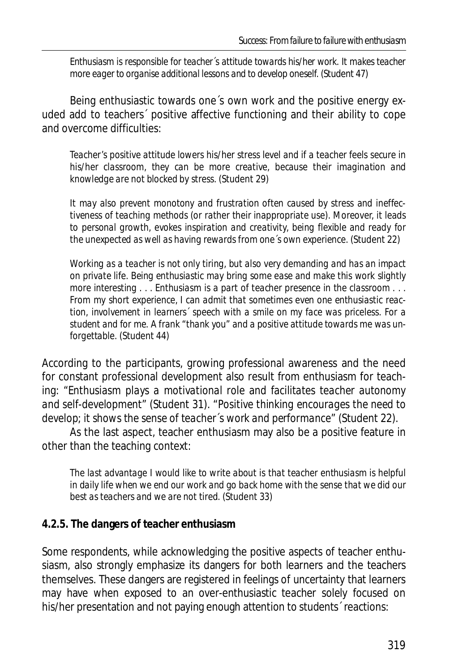*Enthusiasm is responsible for teacher´s attitude towards his/her work. It makes teacher more eager to organise additional lessons and to develop oneself.* (Student 47)

Being enthusiastic towards one´s own work and the positive energy exuded add to teachers´ positive affective functioning and their ability to cope and overcome difficulties:

*Teacher's positive attitude lowers his/her stress level and if a teacher feels secure in his/her classroom, they can be more creative, because their imagination and knowledge are not blocked by stress.* (Student 29)

*It may also prevent monotony and frustration often caused by stress and ineffectiveness of teaching methods (or rather their inappropriate use). Moreover, it leads to personal growth, evokes inspiration and creativity, being flexible and ready for the unexpected as well as having rewards from one´s own experience.* (Student 22)

*Working as a teacher is not only tiring, but also very demanding and has an impact on private life. Being enthusiastic may bring some ease and make this work slightly more interesting . . . Enthusiasm is a part of teacher presence in the classroom . . . From my short experience, I can admit that sometimes even one enthusiastic reaction, involvement in learners´ speech with a smile on my face was priceless. For a student and for me. A frank "thank you" and a positive attitude towards me was unforgettable.* (Student 44)

According to the participants, growing professional awareness and the need for constant professional development also result from enthusiasm for teaching: "*Enthusiasm plays a motivational role and facilitates teacher autonomy and self-development*" (Student 31). "*Positive thinking encourages the need to develop; it shows the sense of teacher´s work and performance*" (Student 22).

As the last aspect, teacher enthusiasm may also be a positive feature in other than the teaching context:

*The last advantage I would like to write about is that teacher enthusiasm is helpful in daily life when we end our work and go back home with the sense that we did our best as teachers and we are not tired.* (Student 33)

### **4.2.5. The dangers of teacher enthusiasm**

Some respondents, while acknowledging the positive aspects of teacher enthusiasm, also strongly emphasize its dangers for both learners and the teachers themselves. These dangers are registered in feelings of uncertainty that learners may have when exposed to an over-enthusiastic teacher solely focused on his/her presentation and not paying enough attention to students' reactions: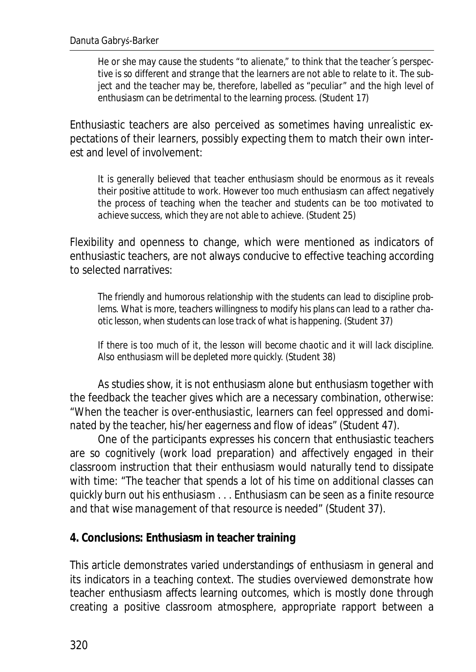*He or she may cause the students "to alienate," to think that the teacher´s perspective is so different and strange that the learners are not able to relate to it. The subject and the teacher may be, therefore, labelled as "peculiar" and the high level of enthusiasm can be detrimental to the learning process.* (Student 17)

Enthusiastic teachers are also perceived as sometimes having unrealistic expectations of their learners, possibly expecting them to match their own interest and level of involvement:

*It is generally believed that teacher enthusiasm should be enormous as it reveals their positive attitude to work. However too much enthusiasm can affect negatively the process of teaching when the teacher and students can be too motivated to achieve success, which they are not able to achieve.* (Student 25)

Flexibility and openness to change, which were mentioned as indicators of enthusiastic teachers, are not always conducive to effective teaching according to selected narratives:

*The friendly and humorous relationship with the students can lead to discipline problems. What is more, teachers willingness to modify his plans can lead to a rather chaotic lesson, when students can lose track of what is happening.* (Student 37)

*If there is too much of it, the lesson will become chaotic and it will lack discipline. Also enthusiasm will be depleted more quickly.* (Student 38)

As studies show, it is not enthusiasm alone but enthusiasm together with the feedback the teacher gives which are a necessary combination, otherwise: "*When the teacher is over-enthusiastic, learners can feel oppressed and dominated by the teacher, his/her eagerness and flow of ideas*" (Student 47).

One of the participants expresses his concern that enthusiastic teachers are so cognitively (work load preparation) and affectively engaged in their classroom instruction that their enthusiasm would naturally tend to dissipate with time: "*The teacher that spends a lot of his time on additional classes can quickly burn out his enthusiasm . . . Enthusiasm can be seen as a finite resource and that wise management of that resource is needed*" (Student 37).

**4. Conclusions: Enthusiasm in teacher training** 

This article demonstrates varied understandings of enthusiasm in general and its indicators in a teaching context. The studies overviewed demonstrate how teacher enthusiasm affects learning outcomes, which is mostly done through creating a positive classroom atmosphere, appropriate rapport between a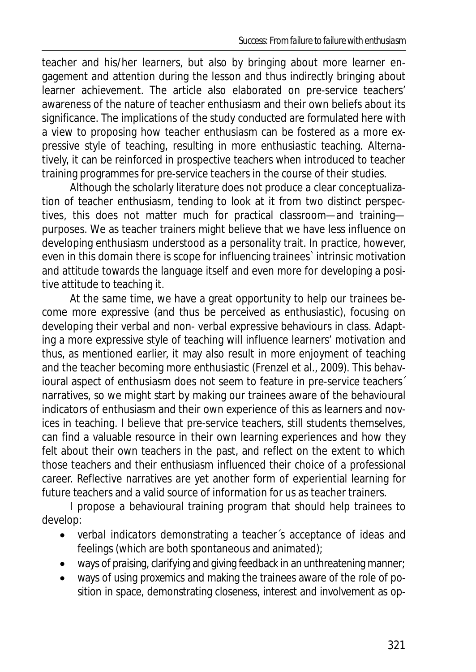teacher and his/her learners, but also by bringing about more learner engagement and attention during the lesson and thus indirectly bringing about learner achievement. The article also elaborated on pre-service teachers' awareness of the nature of teacher enthusiasm and their own beliefs about its significance. The implications of the study conducted are formulated here with a view to proposing how teacher enthusiasm can be fostered as a more expressive style of teaching, resulting in more enthusiastic teaching. Alternatively, it can be reinforced in prospective teachers when introduced to teacher training programmes for pre-service teachers in the course of their studies.

Although the scholarly literature does not produce a clear conceptualization of teacher enthusiasm, tending to look at it from two distinct perspectives, this does not matter much for practical classroom—and training purposes. We as teacher trainers might believe that we have less influence on developing enthusiasm understood as a personality trait. In practice, however, even in this domain there is scope for influencing trainees` intrinsic motivation and attitude towards the language itself and even more for developing a positive attitude to teaching it.

At the same time, we have a great opportunity to help our trainees become more expressive (and thus be perceived as enthusiastic), focusing on developing their verbal and non- verbal expressive behaviours in class. Adapting a more expressive style of teaching will influence learners' motivation and thus, as mentioned earlier, it may also result in more enjoyment of teaching and the teacher becoming more enthusiastic (Frenzel et al., 2009). This behavioural aspect of enthusiasm does not seem to feature in pre-service teachers<sup>1</sup> narratives, so we might start by making our trainees aware of the behavioural indicators of enthusiasm and their own experience of this as learners and novices in teaching. I believe that pre-service teachers, still students themselves, can find a valuable resource in their own learning experiences and how they felt about their own teachers in the past, and reflect on the extent to which those teachers and their enthusiasm influenced their choice of a professional career. Reflective narratives are yet another form of experiential learning for future teachers and a valid source of information for us as teacher trainers.

I propose a behavioural training program that should help trainees to develop:

- *verbal indicators* demonstrating a teacher's acceptance of ideas and feelings (which are both spontaneous and animated);
- ways of praising, clarifying and giving feedback in an unthreatening manner;
- x ways of using *proxemics* and making the trainees aware of the role of position in space, demonstrating closeness, interest and involvement as op-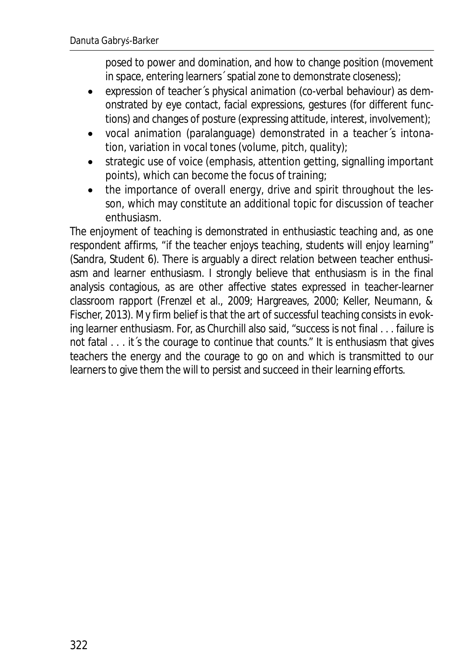posed to power and domination, and how to change position (movement in space, entering learners´ spatial zone to demonstrate closeness);

- x expression of teacher´s *physical animation* (co-verbal behaviour) as demonstrated by eye contact, facial expressions, gestures (for different functions) and changes of posture (expressing attitude, interest, involvement);
- x *vocal animation* (paralanguage) demonstrated in a teacher´s intonation, variation in vocal tones (volume, pitch, quality);
- strategic use of voice (emphasis, attention getting, signalling important points), which can become the focus of training;
- x the importance of *overall energy*, *drive and spirit* throughout the lesson, which may constitute an additional topic for discussion of teacher enthusiasm.

The enjoyment of teaching is demonstrated in enthusiastic teaching and, as one respondent affirms, "*if the teacher enjoys teaching, students will enjoy learning*" (Sandra, Student 6). There is arguably a direct relation between teacher enthusiasm and learner enthusiasm. I strongly believe that enthusiasm is in the final analysis contagious, as are other affective states expressed in teacher-learner classroom rapport (Frenzel et al., 2009; Hargreaves, 2000; Keller, Neumann, & Fischer, 2013). My firm belief is that the art of successful teaching consists in evoking learner enthusiasm. For, as Churchill also said, "success is not final . . . failure is not fatal  $\ldots$  it s the courage to continue that counts." It is enthusiasm that gives teachers the energy and the courage to go on and which is transmitted to our learners to give them the will to persist and succeed in their learning efforts.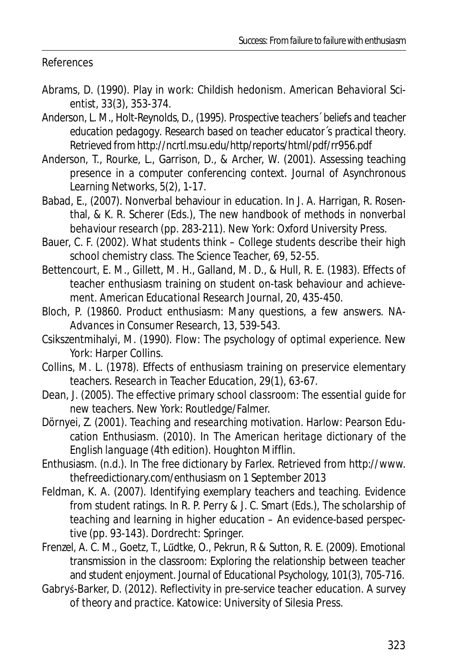References

- Abrams, D. (1990). Play in work: Childish hedonism. *American Behavioral Scientist*, *33*(3), 353-374.
- Anderson, L. M., Holt-Reynolds, D., (1995). *Prospective teachers´ beliefs and teacher education pedagogy*. *Research based on teacher educator´s practical theory*. Retrieved from http://ncrtl.msu.edu/http/reports/html/pdf/rr956.pdf
- Anderson, T., Rourke, L., Garrison, D., & Archer, W. (2001). Assessing teaching presence in a computer conferencing context. *Journal of Asynchronous Learning Networks, 5(2),* 1-17.
- Babad, E., (2007). Nonverbal behaviour in education. In J. A. Harrigan, R. Rosenthal, & K. R. Scherer (Eds.), *The new handbook of methods in nonverbal behaviour research* (pp. 283-211). New York: Oxford University Press.
- Bauer, C. F. (2002). What students think College students describe their high school chemistry class. *The Science Teacher, 69,* 52-55.
- Bettencourt, E. M., Gillett, M. H., Galland, M. D., & Hull, R. E. (1983). Effects of teacher enthusiasm training on student on-task behaviour and achievement. *American Educational Research Journal, 20*, 435-450.
- Bloch, P. (19860. Product enthusiasm: Many questions, a few answers. *NA-Advances in Consumer Research, 13*, 539-543.
- Csikszentmihalyi, M. (1990). *Flow: The psychology of optimal experience*. New York: Harper Collins.
- Collins, M. L. (1978). Effects of enthusiasm training on preservice elementary teachers. *Research in Teacher Education, 29*(1)*,* 63-67.
- Dean, J. (2005). *The effective primary school classroom: The essential guide for new teachers.* New York: Routledge/Falmer.
- Dörnyei, Z. (2001). *Teaching and researching motivation.* Harlow: Pearson Education Enthusiasm. (2010). In *The American heritage dictionary of the English language* (4th edition). Houghton Mifflin.
- Enthusiasm. (n.d.). In *The free dictionary by Farlex*. Retrieved from http://www. thefreedictionary.com/enthusiasm on 1 September 2013
- Feldman, K. A. (2007). Identifying exemplary teachers and teaching. Evidence from student ratings. In R. P. Perry & J. C. Smart (Eds.), *The scholarship of teaching and learning in higher education – An evidence-based perspective* (pp. 93-143). Dordrecht: Springer.
- Frenzel, A. C. M., Goetz, T., Lűdtke, O., Pekrun, R & Sutton, R. E. (2009). Emotional transmission in the classroom: Exploring the relationship between teacher and student enjoyment. *Journal of Educational Psychology, 101*(3), 705-716.
- Gabryś-Barker, D. (2012). *Reflectivity in pre-service teacher education. A survey of theory and practice.* Katowice: University of Silesia Press.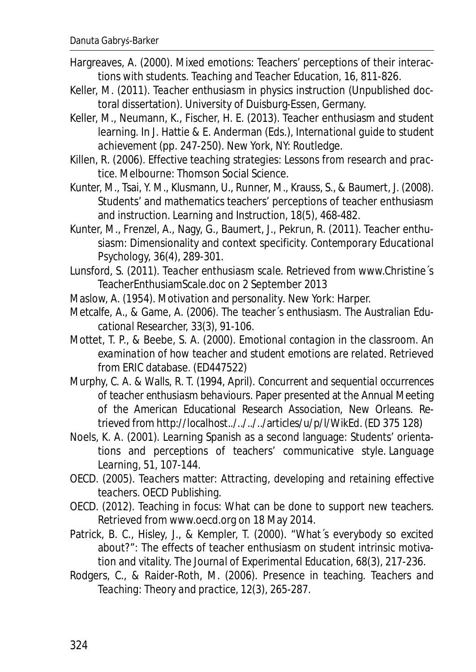- Hargreaves, A. (2000). Mixed emotions: Teachers' perceptions of their interactions with students. *Teaching and Teacher Education,* 16, 811-826.
- Keller, M. (2011). *Teacher enthusiasm in physics instruction* (Unpublished doctoral dissertation). University of Duisburg-Essen, Germany.
- Keller, M., Neumann, K., Fischer, H. E. (2013). Teacher enthusiasm and student learning. In J. Hattie & E. Anderman (Eds.), *International guide to student achievement* (pp. 247-250). New York, NY: Routledge.
- Killen, R. (2006). *Effective teaching strategies: Lessons from research and practice*. Melbourne: Thomson Social Science.
- Kunter, M., Tsai, Y. M., Klusmann, U., Runner, M., Krauss, S., & Baumert, J. (2008). Students' and mathematics teachers' perceptions of teacher enthusiasm and instruction. *Learning and Instruction, 18(5),* 468-482.
- Kunter, M., Frenzel, A., Nagy, G., Baumert, J., Pekrun, R. (2011). Teacher enthusiasm: Dimensionality and context specificity. *Contemporary Educational Psychology, 36*(4), 289-301.
- Lunsford, S. (2011). *Teacher enthusiasm scale*. Retrieved from www.Christine´s TeacherEnthusiamScale.doc on 2 September 2013
- Maslow, A. (1954). *Motivation and personality*. New York: Harper.
- Metcalfe, A., & Game, A. (2006). The teacher´s enthusiasm. *The Australian Educational Researcher, 33*(3), 91-106.
- Mottet, T. P., & Beebe, S. A. (2000). *Emotional contagion in the classroom. An examination of how teacher and student emotions are related*. Retrieved from ERIC database. (ED447522)
- Murphy, C. A. & Walls, R. T. (1994, April). *Concurrent and sequential occurrences of teacher enthusiasm behaviours*. Paper presented at the Annual Meeting of the American Educational Research Association, New Orleans. Retrieved from http://localhost../../../../articles/u/p/l/WikEd. (ED 375 128)
- Noels, K. A. (2001). Learning Spanish as a second language: Students' orientations and perceptions of teachers' communicative style. *Language Learning*, 51, 107-144.
- OECD. (2005). *Teachers matter: Attracting, developing and retaining effective teachers*. OECD Publishing.
- OECD. (2012). Teaching in focus: What can be done to support new teachers. Retrieved from www.oecd.org on 18 May 2014.
- Patrick, B. C., Hisley, J., & Kempler, T. (2000). "What´s everybody so excited about?": The effects of teacher enthusiasm on student intrinsic motivation and vitality. *The Journal of Experimental Education, 68*(3), 217-236.
- Rodgers, C., & Raider-Roth, M. (2006). Presence in teaching. *Teachers and Teaching: Theory and practice, 12*(3), 265-287.